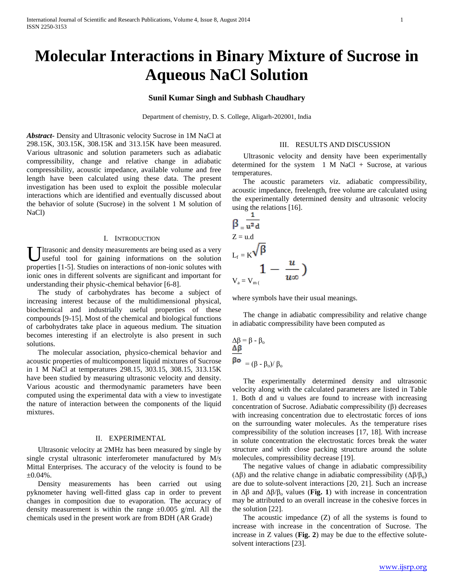# **Molecular Interactions in Binary Mixture of Sucrose in Aqueous NaCl Solution**

### **Sunil Kumar Singh and Subhash Chaudhary**

Department of chemistry, D. S. College, Aligarh-202001, India

*Abstract***-** Density and Ultrasonic velocity Sucrose in 1M NaCl at 298.15K, 303.15K, 308.15K and 313.15K have been measured. Various ultrasonic and solution parameters such as adiabatic compressibility, change and relative change in adiabatic compressibility, acoustic impedance, available volume and free length have been calculated using these data. The present investigation has been used to exploit the possible molecular interactions which are identified and eventually discussed about the behavior of solute (Sucrose) in the solvent 1 M solution of NaCl)

#### I. INTRODUCTION

Ultrasonic and density measurements are being used as a very useful tool for gaining informations on the solution useful tool for gaining informations on the solution properties [1-5]. Studies on interactions of non-ionic solutes with ionic ones in different solvents are significant and important for understanding their physic-chemical behavior [6-8].

 The study of carbohydrates has become a subject of increasing interest because of the multidimensional physical, biochemical and industrially useful properties of these compounds [9-15]. Most of the chemical and biological functions of carbohydrates take place in aqueous medium. The situation becomes interesting if an electrolyte is also present in such solutions.

 The molecular association, physico-chemical behavior and acoustic properties of multicomponent liquid mixtures of Sucrose in 1 M NaCl at temperatures 298.15, 303.15, 308.15, 313.15K have been studied by measuring ultrasonic velocity and density. Various acoustic and thermodynamic parameters have been computed using the experimental data with a view to investigate the nature of interaction between the components of the liquid mixtures.

#### II. EXPERIMENTAL

 Ultrasonic velocity at 2MHz has been measured by single by single crystal ultrasonic interferometer manufactured by M/s Mittal Enterprises. The accuracy of the velocity is found to be ±0.04%.

 Density measurements has been carried out using pyknometer having well-fitted glass cap in order to prevent changes in composition due to evaporation. The accuracy of density measurement is within the range  $\pm 0.005$  g/ml. All the chemicals used in the present work are from BDH (AR Grade)

#### III. RESULTS AND DISCUSSION

 Ultrasonic velocity and density have been experimentally determined for the system 1 M NaCl + Sucrose, at various temperatures.

 The acoustic parameters viz. adiabatic compressibility, acoustic impedance, freelength, free volume are calculated using the experimentally determined density and ultrasonic velocity using the relations [16]. п.

$$
\beta = \frac{1}{u^2 d}
$$
  
\n
$$
Z = u.d
$$
  
\n
$$
L_f = K \sqrt{\beta}
$$
  
\n
$$
L_f = \frac{u}{u \infty}
$$
  
\n
$$
V_a = V_{m} (
$$

where symbols have their usual meanings.

 The change in adiabatic compressibility and relative change in adiabatic compressibility have been computed as

$$
\Delta \beta = \beta - \beta_o
$$
  

$$
\frac{\Delta \beta}{\beta o} = (\beta - \beta_o) / \beta_o
$$

 The experimentally determined density and ultrasonic velocity along with the calculated parameters are listed in Table 1. Both d and u values are found to increase with increasing concentration of Sucrose. Adiabatic compressibility (β) decreases with increasing concentration due to electrostatic forces of ions on the surrounding water molecules. As the temperature rises compressibility of the solution increases [17, 18]. With increase in solute concentration the electrostatic forces break the water structure and with close packing structure around the solute molecules, compressibility decrease [19].

 The negative values of change in adiabatic compressibility ( $\Delta\beta$ ) and the relative change in adiabatic compressibility ( $\Delta\beta/\beta_0$ ) are due to solute-solvent interactions [20, 21]. Such an increase in  $\Delta\beta$  and  $\Delta\beta/\beta_0$  values (**Fig. 1**) with increase in concentration may be attributed to an overall increase in the cohesive forces in the solution [22].

 The acoustic impedance (Z) of all the systems is found to increase with increase in the concentration of Sucrose. The increase in Z values (**Fig. 2**) may be due to the effective solutesolvent interactions [23].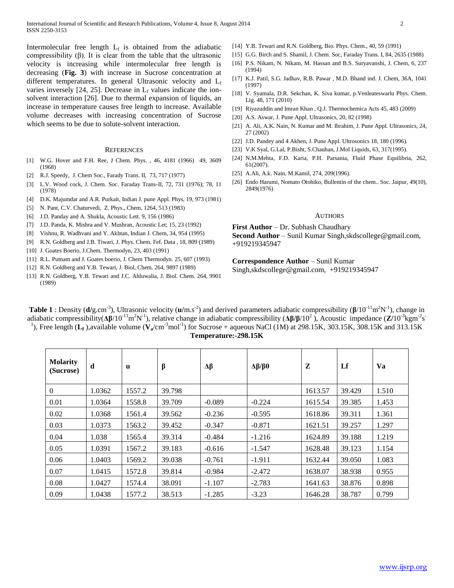Intermolecular free length  $L_f$  is obtained from the adiabatic compressibility (β). It is clear from the table that the ultrasonic velocity is increasing while intermolecular free length is decreasing (**Fig. 3**) with increase in Sucrose concentration at different temperatures. In general Ultrasonic velocity and Lf varies inversely [24, 25]. Decrease in  $L_f$  values indicate the ionsolvent interaction [26]. Due to thermal expansion of liquids, an increase in temperature causes free length to increase. Available volume decreases with increasing concentration of Sucrose which seems to be due to solute-solvent interaction.

#### **REFERENCES**

- [1] W.G. Hover and F.H. Ree, J Chem. Phys. , 46, 4181 (1966) 49, 3609 (1968)
- [2] R.J. Speedy, J. Chem Soc., Farady Trans. II, 73, 717 (1977)
- [3] L.V. Wood cock, J. Chem. Soc. Faraday Trans-II, 72, 731 (1976); 78, 11 (1978)
- [4] D.K. Majumdar and A.R. Purkait, Indian J. pune Appl. Phys, 19, 973 (1981)
- [5] N. Pant, C.V. Chaturvedi, Z. Phys., Chem, 1264, 513 (1983)
- [6] J.D. Panday and A. Shukla, Acoustic Lett. 9, 156 (1986)
- [7] J.D. Panda, K. Mishra and V. Mushran, Acoustic Let; 15, 23 (1992)
- [8] Vishnu, R. Wadhvani and Y. Akhtan, Indian J. Chem, 34, 954 (1995)
- [9] R.N. Goldberg and J.B. Tiwari, J. Phys. Chem. Fef. Data , 18, 809 (1989)
- [10] J. Goates Boerio, J.Chem. Thermodyn, 23, 403 (1991)
- [11] R.L. Putnam and J. Goates boerio, J. Chem Thermodyn. 25, 607 (1993)
- [12] R.N. Goldberg and Y.B. Tewari, J. Biol, Chem. 264, 9897 (1989)
- [13] R.N. Goldberg, Y.B. Tewari and J.C. Ahluwalia, J. Biol. Chem. 264, 9901 (1989)
- [14] Y.B. Tewari and R.N. Goldberg, Bio. Phys. Chem., 40, 59 (1991)
- [15] G.G. Birch and S. Shamil, J. Chem. Soc, Faraday Trans. I, 84, 2635 (1988)
- [16] P.S. Nikam, N. Nikam, M. Hassan and B.S. Suryavanshi, J. Chem, 6, 237 (1994)
- [17] K.J. Patil, S.G. Jadhav, R.B. Pawar , M.D. Bhand ind. J. Chem, 36A, 1041 (1997)
- [18] V. Syamala, D.R. Sekchan, K. Siva kumar, p.Venleateswarlu Phys. Chem. Lig. 48, 171 (2010)
- [19] Riyazuddin and Imran Khan , Q.J. Thermochemica Acts 45, 483 (2009)
- [20] A.S. Aswar, J. Pune Appl. Ultrasonics, 20, 82 (1998)
- [21] A. Ali, A.K. Nain, N. Kumar and M. Ibrahim, J. Pune Appl. Ultrasonics, 24, 27 (2002)
- [22] J.D. Pandey and 4 Akhen, J. Pune Appl. Ultrosonics 18, 180 (1996).
- [23] V.K Syal, G.Lal, P.Bisht, S.Chauhan, J.Mol Liquids, 63, 317(1995).
- [24] N.M.Mehta, F.D. Karia, P.H. Parsania, Fluid Phase Equilibria, 262, 61(2007).
- [25] A.Ali, A.k. Nain, M.Kamil, 274, 209(1996).
- [26] Endo Harumi, Nomato Otohiko, Bullentin of the chem.. Soc. Jaipur, 49(10), 2849(1976)

#### **AUTHORS**

**First Author** – Dr. Subhash Chaudhary **Second Author** – Sunil Kumar Singh,skdscollege@gmail.com, +919219345947

# **Correspondence Author** – Sunil Kumar

Singh,skdscollege@gmail.com, +919219345947

**Table 1**: Density ( $d/g.cm^{-3}$ ), Ultrasonic velocity ( $u/m.s^{-2}$ ) and derived parameters adiabatic compressibility ( $\beta/10^{-11} m^2 N^{-1}$ ), change in adiabatic compressibility( $Δβ/10^{-11}m^2N^{-1}$ ), relative change in adiabatic compressibility ( $Δβ/β/10^2$ ), Acoustic impedance (**Z**/10<sup>-3</sup>kgm<sup>-2</sup>s<sup>-</sup> <sup>1</sup>), Free length  $(L_f)$ , available volume  $(V_a/cm^3 mol^{-1})$  for Sucrose + aqueous NaCl (1M) at 298.15K, 303.15K, 308.15K and 313.15K **Temperature:-298.15K**

| <b>Molarity</b><br>(Sucrose) | d      | $\mathbf{u}$ | β      | Δβ       | Δβ/β0    | Z       | Lf     | Va    |
|------------------------------|--------|--------------|--------|----------|----------|---------|--------|-------|
| $\boldsymbol{0}$             | 1.0362 | 1557.2       | 39.798 |          |          | 1613.57 | 39.429 | 1.510 |
| 0.01                         | 1.0364 | 1558.8       | 39.709 | $-0.089$ | $-0.224$ | 1615.54 | 39.385 | 1.453 |
| 0.02                         | 1.0368 | 1561.4       | 39.562 | $-0.236$ | $-0.595$ | 1618.86 | 39.311 | 1.361 |
| 0.03                         | 1.0373 | 1563.2       | 39.452 | $-0.347$ | $-0.871$ | 1621.51 | 39.257 | 1.297 |
| 0.04                         | 1.038  | 1565.4       | 39.314 | $-0.484$ | $-1.216$ | 1624.89 | 39.188 | 1.219 |
| 0.05                         | 1.0391 | 1567.2       | 39.183 | $-0.616$ | $-1.547$ | 1628.48 | 39.123 | 1.154 |
| 0.06                         | 1.0403 | 1569.2       | 39.038 | $-0.761$ | $-1.911$ | 1632.44 | 39.050 | 1.083 |
| 0.07                         | 1.0415 | 1572.8       | 39.814 | $-0.984$ | $-2.472$ | 1638.07 | 38.938 | 0.955 |
| 0.08                         | 1.0427 | 1574.4       | 38.091 | $-1.107$ | $-2.783$ | 1641.63 | 38.876 | 0.898 |
| 0.09                         | 1.0438 | 1577.2       | 38.513 | $-1.285$ | $-3.23$  | 1646.28 | 38.787 | 0.799 |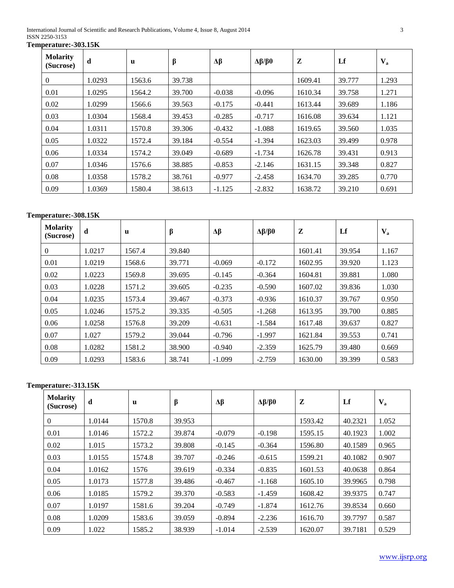International Journal of Scientific and Research Publications, Volume 4, Issue 8, August 2014 3 ISSN 2250-3153

**Temperature:-303.15K**

| <b>Molarity</b><br>(Sucrose) | d      | $\mathbf{u}$ | $\beta$ | Δβ       | Δβ/β0    | Z       | Lf     | $V_a$ |
|------------------------------|--------|--------------|---------|----------|----------|---------|--------|-------|
| $\theta$                     | 1.0293 | 1563.6       | 39.738  |          |          | 1609.41 | 39.777 | 1.293 |
| 0.01                         | 1.0295 | 1564.2       | 39.700  | $-0.038$ | $-0.096$ | 1610.34 | 39.758 | 1.271 |
| 0.02                         | 1.0299 | 1566.6       | 39.563  | $-0.175$ | $-0.441$ | 1613.44 | 39.689 | 1.186 |
| 0.03                         | 1.0304 | 1568.4       | 39.453  | $-0.285$ | $-0.717$ | 1616.08 | 39.634 | 1.121 |
| 0.04                         | 1.0311 | 1570.8       | 39.306  | $-0.432$ | $-1.088$ | 1619.65 | 39.560 | 1.035 |
| 0.05                         | 1.0322 | 1572.4       | 39.184  | $-0.554$ | $-1.394$ | 1623.03 | 39.499 | 0.978 |
| 0.06                         | 1.0334 | 1574.2       | 39.049  | $-0.689$ | $-1.734$ | 1626.78 | 39.431 | 0.913 |
| 0.07                         | 1.0346 | 1576.6       | 38.885  | $-0.853$ | $-2.146$ | 1631.15 | 39.348 | 0.827 |
| 0.08                         | 1.0358 | 1578.2       | 38.761  | $-0.977$ | $-2.458$ | 1634.70 | 39.285 | 0.770 |
| 0.09                         | 1.0369 | 1580.4       | 38.613  | $-1.125$ | $-2.832$ | 1638.72 | 39.210 | 0.691 |

## **Temperature:-308.15K**

| <b>Molarity</b><br>(Sucrose) | d      | u      | β      | Δβ       | Δβ/β0    | Z       | Lf     | $\mathbf{V}_{\mathbf{a}}$ |
|------------------------------|--------|--------|--------|----------|----------|---------|--------|---------------------------|
| $\theta$                     | 1.0217 | 1567.4 | 39.840 |          |          | 1601.41 | 39.954 | 1.167                     |
| 0.01                         | 1.0219 | 1568.6 | 39.771 | $-0.069$ | $-0.172$ | 1602.95 | 39.920 | 1.123                     |
| 0.02                         | 1.0223 | 1569.8 | 39.695 | $-0.145$ | $-0.364$ | 1604.81 | 39.881 | 1.080                     |
| 0.03                         | 1.0228 | 1571.2 | 39.605 | $-0.235$ | $-0.590$ | 1607.02 | 39.836 | 1.030                     |
| 0.04                         | 1.0235 | 1573.4 | 39.467 | $-0.373$ | $-0.936$ | 1610.37 | 39.767 | 0.950                     |
| 0.05                         | 1.0246 | 1575.2 | 39.335 | $-0.505$ | $-1.268$ | 1613.95 | 39.700 | 0.885                     |
| 0.06                         | 1.0258 | 1576.8 | 39.209 | $-0.631$ | $-1.584$ | 1617.48 | 39.637 | 0.827                     |
| 0.07                         | 1.027  | 1579.2 | 39.044 | $-0.796$ | $-1.997$ | 1621.84 | 39.553 | 0.741                     |
| 0.08                         | 1.0282 | 1581.2 | 38.900 | $-0.940$ | $-2.359$ | 1625.79 | 39.480 | 0.669                     |
| 0.09                         | 1.0293 | 1583.6 | 38.741 | $-1.099$ | $-2.759$ | 1630.00 | 39.399 | 0.583                     |

# **Temperature:-313.15K**

| <b>Molarity</b><br>(Sucrose) | d      | $\mathbf u$ | β      | Δβ       | Δβ/β0    | Z       | Lf      | $V_{\rm a}$ |
|------------------------------|--------|-------------|--------|----------|----------|---------|---------|-------------|
| $\theta$                     | 1.0144 | 1570.8      | 39.953 |          |          | 1593.42 | 40.2321 | 1.052       |
| 0.01                         | 1.0146 | 1572.2      | 39.874 | $-0.079$ | $-0.198$ | 1595.15 | 40.1923 | 1.002       |
| 0.02                         | 1.015  | 1573.2      | 39.808 | $-0.145$ | $-0.364$ | 1596.80 | 40.1589 | 0.965       |
| 0.03                         | 1.0155 | 1574.8      | 39.707 | $-0.246$ | $-0.615$ | 1599.21 | 40.1082 | 0.907       |
| 0.04                         | 1.0162 | 1576        | 39.619 | $-0.334$ | $-0.835$ | 1601.53 | 40.0638 | 0.864       |
| 0.05                         | 1.0173 | 1577.8      | 39.486 | $-0.467$ | $-1.168$ | 1605.10 | 39.9965 | 0.798       |
| 0.06                         | 1.0185 | 1579.2      | 39.370 | $-0.583$ | $-1.459$ | 1608.42 | 39.9375 | 0.747       |
| 0.07                         | 1.0197 | 1581.6      | 39.204 | $-0.749$ | $-1.874$ | 1612.76 | 39.8534 | 0.660       |
| 0.08                         | 1.0209 | 1583.6      | 39.059 | $-0.894$ | $-2.236$ | 1616.70 | 39.7797 | 0.587       |
| 0.09                         | 1.022  | 1585.2      | 38.939 | $-1.014$ | $-2.539$ | 1620.07 | 39.7181 | 0.529       |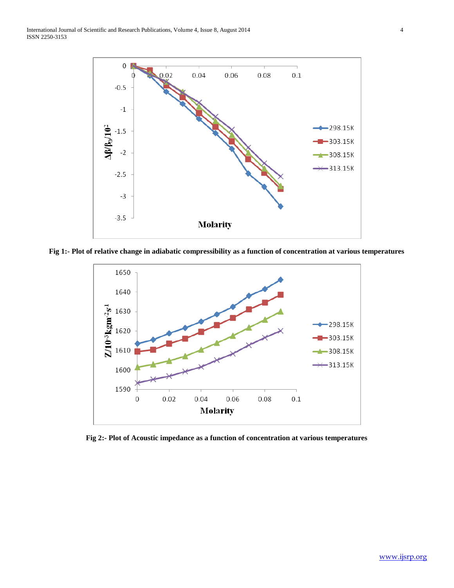

**Fig 1:- Plot of relative change in adiabatic compressibility as a function of concentration at various temperatures**



**Fig 2:- Plot of Acoustic impedance as a function of concentration at various temperatures**